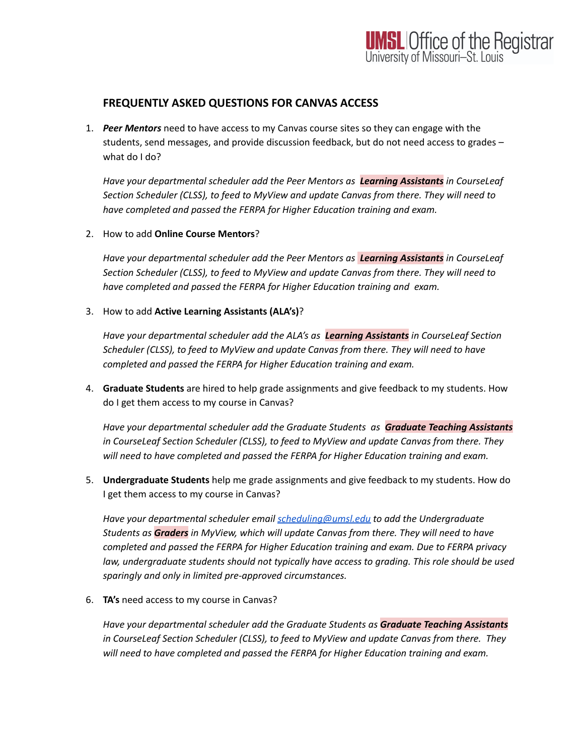## **UMSL Office of the Registrar**<br>University of Missouri-St. Louis

## **FREQUENTLY ASKED QUESTIONS FOR CANVAS ACCESS**

1. *Peer Mentors* need to have access to my Canvas course sites so they can engage with the students, send messages, and provide discussion feedback, but do not need access to grades – what do I do?

*Have your departmental scheduler add the Peer Mentors as Learning Assistants in CourseLeaf Section Scheduler (CLSS), to feed to MyView and update Canvas from there. They will need to have completed and passed the FERPA for Higher Education training and exam.*

2. How to add **Online Course Mentors**?

*Have your departmental scheduler add the Peer Mentors as Learning Assistants in CourseLeaf Section Scheduler (CLSS), to feed to MyView and update Canvas from there. They will need to have completed and passed the FERPA for Higher Education training and exam.*

3. How to add **Active Learning Assistants (ALA's)**?

*Have your departmental scheduler add the ALA's as Learning Assistants in CourseLeaf Section Scheduler (CLSS), to feed to MyView and update Canvas from there. They will need to have completed and passed the FERPA for Higher Education training and exam.*

4. **Graduate Students** are hired to help grade assignments and give feedback to my students. How do I get them access to my course in Canvas?

*Have your departmental scheduler add the Graduate Students as Graduate Teaching Assistants in CourseLeaf Section Scheduler (CLSS), to feed to MyView and update Canvas from there. They will need to have completed and passed the FERPA for Higher Education training and exam.*

5. **Undergraduate Students** help me grade assignments and give feedback to my students. How do I get them access to my course in Canvas?

*Have your departmental scheduler email [scheduling@umsl.edu](mailto:scheduling@umsl.edu) to add the Undergraduate Students as Graders in MyView, which will update Canvas from there. They will need to have completed and passed the FERPA for Higher Education training and exam. Due to FERPA privacy law, undergraduate students should not typically have access to grading. This role should be used sparingly and only in limited pre-approved circumstances.*

6. **TA's** need access to my course in Canvas?

*Have your departmental scheduler add the Graduate Students as Graduate Teaching Assistants in CourseLeaf Section Scheduler (CLSS), to feed to MyView and update Canvas from there. They will need to have completed and passed the FERPA for Higher Education training and exam.*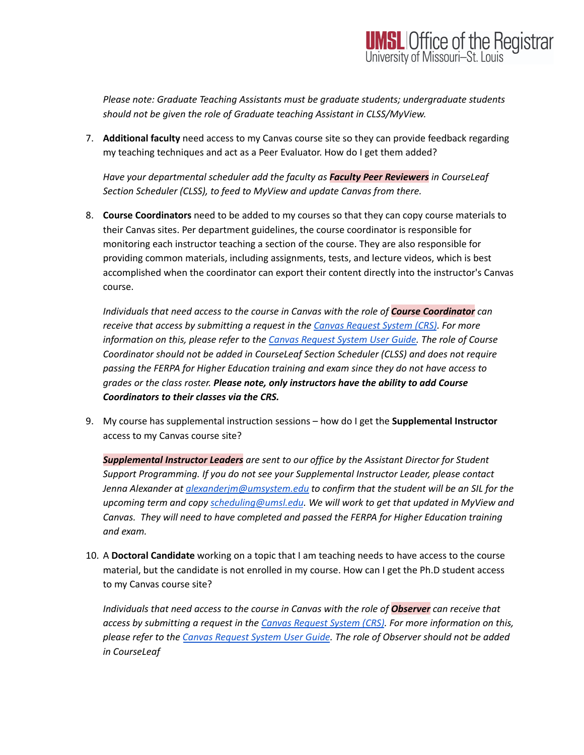*Please note: Graduate Teaching Assistants must be graduate students; undergraduate students should not be given the role of Graduate teaching Assistant in CLSS/MyView.*

7. **Additional faculty** need access to my Canvas course site so they can provide feedback regarding my teaching techniques and act as a Peer Evaluator. How do I get them added?

*Have your departmental scheduler add the faculty as Faculty Peer Reviewers in CourseLeaf Section Scheduler (CLSS), to feed to MyView and update Canvas from there.*

8. **Course Coordinators** need to be added to my courses so that they can copy course materials to their Canvas sites. Per department guidelines, the course coordinator is responsible for monitoring each instructor teaching a section of the course. They are also responsible for providing common materials, including assignments, tests, and lecture videos, which is best accomplished when the coordinator can export their content directly into the instructor's Canvas course.

*Individuals that need access to the course in Canvas with the role of Course Coordinator can receive that access by submitting a request in the Canvas [Request](https://canvasrequest.umsystem.edu/) System (CRS). For more information on this, please refer to the Canvas [Request](https://mailmissouri.sharepoint.com/sites/TeamsTraining-Ogrp/Shared%20Documents/Forms/AllItems.aspx?id=%2Fsites%2FTeamsTraining%2DOgrp%2FShared%20Documents%2FDoIT%20Misc%20Documents%2FCanvas%20Request%20System%20User%20Guide%2FCanvas%20Request%20System%2Epdf&parent=%2Fsites%2FTeamsTraining%2DOgrp%2FShared%20Documents%2FDoIT%20Misc%20Documents%2FCanvas%20Request%20System%20User%20Guide&p=true) System User Guide. The role of Course Coordinator should not be added in CourseLeaf Section Scheduler (CLSS) and does not require passing the FERPA for Higher Education training and exam since they do not have access to grades or the class roster. Please note, only instructors have the ability to add Course Coordinators to their classes via the CRS.*

9. My course has supplemental instruction sessions – how do I get the **Supplemental Instructor** access to my Canvas course site?

*Supplemental Instructor Leaders are sent to our office by the Assistant Director for Student Support Programming. If you do not see your Supplemental Instructor Leader, please contact Jenna Alexander at [alexanderjm@umsystem.edu](mailto:alexanderjm@umsystem.edu) to confirm that the student will be an SIL for the upcoming term and copy [scheduling@umsl.edu](mailto:scheduling@umsl.edu). We will work to get that updated in MyView and Canvas. They will need to have completed and passed the FERPA for Higher Education training and exam.*

10. A **Doctoral Candidate** working on a topic that I am teaching needs to have access to the course material, but the candidate is not enrolled in my course. How can I get the Ph.D student access to my Canvas course site?

*Individuals that need access to the course in Canvas with the role of Observer can receive that access by submitting a request in the Canvas [Request](https://canvasrequest.umsystem.edu/) System (CRS). For more information on this, please refer to the Canvas [Request](https://mailmissouri.sharepoint.com/sites/TeamsTraining-Ogrp/Shared%20Documents/Forms/AllItems.aspx?id=%2Fsites%2FTeamsTraining%2DOgrp%2FShared%20Documents%2FDoIT%20Misc%20Documents%2FCanvas%20Request%20System%20User%20Guide%2FCanvas%20Request%20System%2Epdf&parent=%2Fsites%2FTeamsTraining%2DOgrp%2FShared%20Documents%2FDoIT%20Misc%20Documents%2FCanvas%20Request%20System%20User%20Guide&p=true) System User Guide. The role of Observer should not be added in CourseLeaf*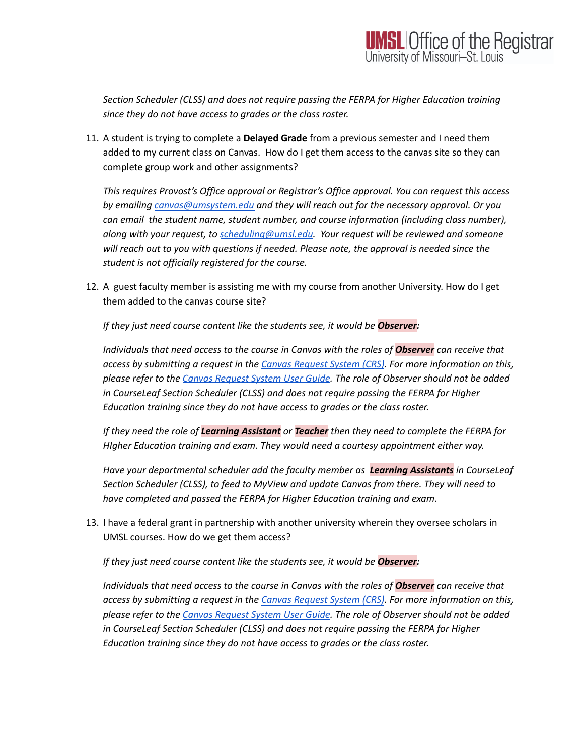*Section Scheduler (CLSS) and does not require passing the FERPA for Higher Education training since they do not have access to grades or the class roster.*

11. A student is trying to complete a **Delayed Grade** from a previous semester and I need them added to my current class on Canvas. How do I get them access to the canvas site so they can complete group work and other assignments?

*This requires Provost's Office approval or Registrar's Office approval. You can request this access by emailing [canvas@umsystem.edu](mailto:canvas@umsystem.edu) and they will reach out for the necessary approval. Or you can email the student name, student number, and course information (including class number), along with your request, to [scheduling@umsl.edu](mailto:scheduling@umsl.edu). Your request will be reviewed and someone will reach out to you with questions if needed. Please note, the approval is needed since the student is not officially registered for the course.*

12. A guest faculty member is assisting me with my course from another University. How do I get them added to the canvas course site?

*If they just need course content like the students see, it would be Observer:*

*Individuals that need access to the course in Canvas with the roles of Observer can receive that access by submitting a request in the Canvas [Request](https://canvasrequest.umsystem.edu/) System (CRS). For more information on this, please refer to the Canvas [Request](https://mailmissouri.sharepoint.com/sites/TeamsTraining-Ogrp/Shared%20Documents/Forms/AllItems.aspx?id=%2Fsites%2FTeamsTraining%2DOgrp%2FShared%20Documents%2FDoIT%20Misc%20Documents%2FCanvas%20Request%20System%20User%20Guide%2FCanvas%20Request%20System%2Epdf&parent=%2Fsites%2FTeamsTraining%2DOgrp%2FShared%20Documents%2FDoIT%20Misc%20Documents%2FCanvas%20Request%20System%20User%20Guide&p=true) System User Guide. The role of Observer should not be added in CourseLeaf Section Scheduler (CLSS) and does not require passing the FERPA for Higher Education training since they do not have access to grades or the class roster.*

*If they need the role of Learning Assistant or Teacher then they need to complete the FERPA for HIgher Education training and exam. They would need a courtesy appointment either way.*

*Have your departmental scheduler add the faculty member as Learning Assistants in CourseLeaf Section Scheduler (CLSS), to feed to MyView and update Canvas from there. They will need to have completed and passed the FERPA for Higher Education training and exam.*

13. I have a federal grant in partnership with another university wherein they oversee scholars in UMSL courses. How do we get them access?

*If they just need course content like the students see, it would be Observer:*

*Individuals that need access to the course in Canvas with the roles of Observer can receive that access by submitting a request in the Canvas [Request](https://canvasrequest.umsystem.edu/) System (CRS). For more information on this, please refer to the Canvas [Request](https://mailmissouri.sharepoint.com/sites/TeamsTraining-Ogrp/Shared%20Documents/Forms/AllItems.aspx?id=%2Fsites%2FTeamsTraining%2DOgrp%2FShared%20Documents%2FDoIT%20Misc%20Documents%2FCanvas%20Request%20System%20User%20Guide%2FCanvas%20Request%20System%2Epdf&parent=%2Fsites%2FTeamsTraining%2DOgrp%2FShared%20Documents%2FDoIT%20Misc%20Documents%2FCanvas%20Request%20System%20User%20Guide&p=true) System User Guide. The role of Observer should not be added in CourseLeaf Section Scheduler (CLSS) and does not require passing the FERPA for Higher Education training since they do not have access to grades or the class roster.*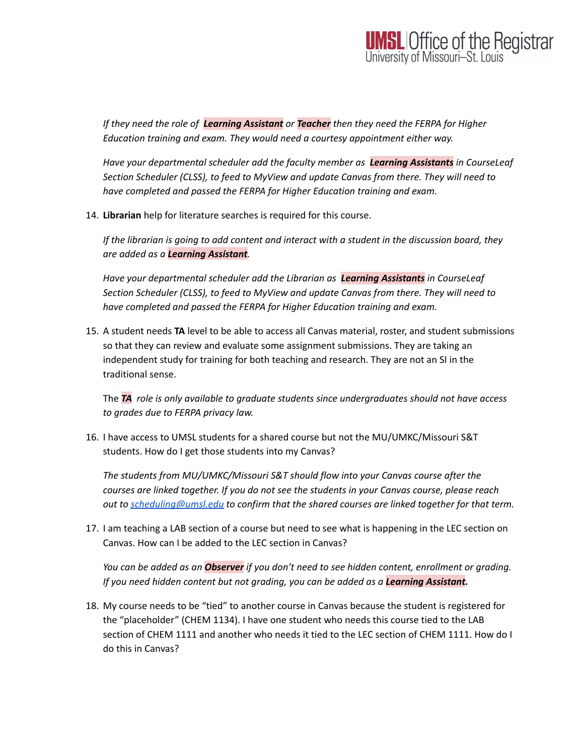

*If they need the role of Learning Assistant or Teacher then they need the FERPA for Higher Education training and exam. They would need a courtesy appointment either way.*

*Have your departmental scheduler add the faculty member as Learning Assistants in CourseLeaf Section Scheduler (CLSS), to feed to MyView and update Canvas from there. They will need to have completed and passed the FERPA for Higher Education training and exam.*

14. **Librarian** help for literature searches is required for this course.

*If the librarian is going to add content and interact with a student in the discussion board, they are added as a Learning Assistant.*

*Have your departmental scheduler add the Librarian as Learning Assistants in CourseLeaf Section Scheduler (CLSS), to feed to MyView and update Canvas from there. They will need to have completed and passed the FERPA for Higher Education training and exam.*

15. A student needs **TA** level to be able to access all Canvas material, roster, and student submissions so that they can review and evaluate some assignment submissions. They are taking an independent study for training for both teaching and research. They are not an SI in the traditional sense.

The *TA role is only available to graduate students since undergraduates should not have access to grades due to FERPA privacy law.*

16. I have access to UMSL students for a shared course but not the MU/UMKC/Missouri S&T students. How do I get those students into my Canvas?

*The students from MU/UMKC/Missouri S&T should flow into your Canvas course after the courses are linked together. If you do not see the students in your Canvas course, please reach out to [scheduling@umsl.edu](mailto:scheduling@umsl.edu) to confirm that the shared courses are linked together for that term.*

17. I am teaching a LAB section of a course but need to see what is happening in the LEC section on Canvas. How can I be added to the LEC section in Canvas?

*You can be added as an Observer if you don't need to see hidden content, enrollment or grading. If you need hidden content but not grading, you can be added as a Learning Assistant.*

18. My course needs to be "tied" to another course in Canvas because the student is registered for the "placeholder" (CHEM 1134). I have one student who needs this course tied to the LAB section of CHEM 1111 and another who needs it tied to the LEC section of CHEM 1111. How do I do this in Canvas?